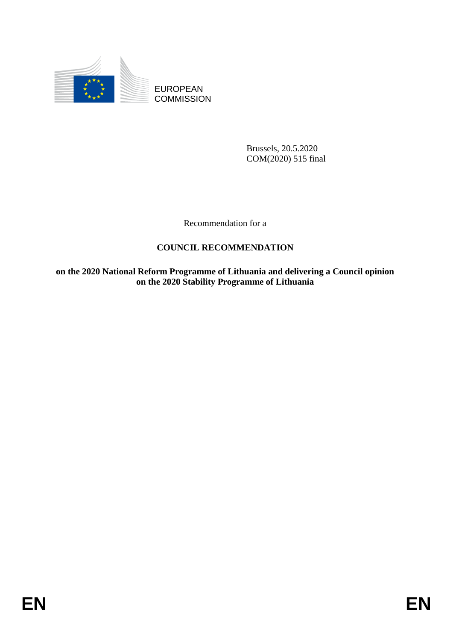

EUROPEAN **COMMISSION** 

> Brussels, 20.5.2020 COM(2020) 515 final

Recommendation for a

# **COUNCIL RECOMMENDATION**

**on the 2020 National Reform Programme of Lithuania and delivering a Council opinion on the 2020 Stability Programme of Lithuania**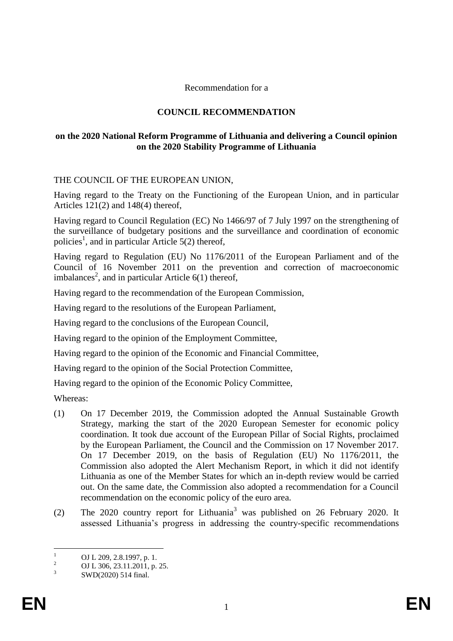#### Recommendation for a

## **COUNCIL RECOMMENDATION**

## **on the 2020 National Reform Programme of Lithuania and delivering a Council opinion on the 2020 Stability Programme of Lithuania**

## THE COUNCIL OF THE EUROPEAN UNION,

Having regard to the Treaty on the Functioning of the European Union, and in particular Articles 121(2) and 148(4) thereof,

Having regard to Council Regulation (EC) No 1466/97 of 7 July 1997 on the strengthening of the surveillance of budgetary positions and the surveillance and coordination of economic policies<sup>1</sup>, and in particular Article 5(2) thereof,

Having regard to Regulation (EU) No 1176/2011 of the European Parliament and of the Council of 16 November 2011 on the prevention and correction of macroeconomic imbalances<sup>2</sup>, and in particular Article  $6(1)$  thereof,

Having regard to the recommendation of the European Commission,

Having regard to the resolutions of the European Parliament,

Having regard to the conclusions of the European Council,

Having regard to the opinion of the Employment Committee,

Having regard to the opinion of the Economic and Financial Committee,

Having regard to the opinion of the Social Protection Committee,

Having regard to the opinion of the Economic Policy Committee,

Whereas:

- (1) On 17 December 2019, the Commission adopted the Annual Sustainable Growth Strategy, marking the start of the 2020 European Semester for economic policy coordination. It took due account of the European Pillar of Social Rights, proclaimed by the European Parliament, the Council and the Commission on 17 November 2017. On 17 December 2019, on the basis of Regulation (EU) No 1176/2011, the Commission also adopted the Alert Mechanism Report, in which it did not identify Lithuania as one of the Member States for which an in-depth review would be carried out. On the same date, the Commission also adopted a recommendation for a Council recommendation on the economic policy of the euro area.
- (2) The 2020 country report for Lithuania<sup>3</sup> was published on 26 February 2020. It assessed Lithuania's progress in addressing the country-specific recommendations

 $\mathbf{1}$  $\frac{1}{2}$  OJ L 209, 2.8.1997, p. 1.

<sup>2</sup> OJ L 306, 23.11.2011, p. 25.

<sup>3</sup> SWD(2020) 514 final.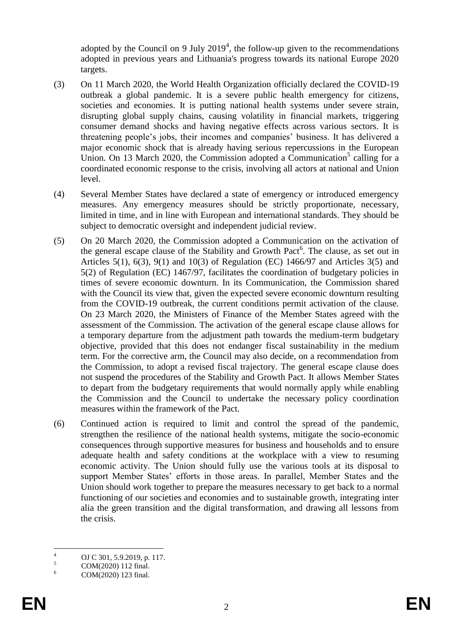adopted by the Council on 9 July  $2019<sup>4</sup>$ , the follow-up given to the recommendations adopted in previous years and Lithuania's progress towards its national Europe 2020 targets.

- (3) On 11 March 2020, the World Health Organization officially declared the COVID-19 outbreak a global pandemic. It is a severe public health emergency for citizens, societies and economies. It is putting national health systems under severe strain, disrupting global supply chains, causing volatility in financial markets, triggering consumer demand shocks and having negative effects across various sectors. It is threatening people's jobs, their incomes and companies' business. It has delivered a major economic shock that is already having serious repercussions in the European Union. On 13 March 2020, the Commission adopted a Communication<sup>5</sup> calling for a coordinated economic response to the crisis, involving all actors at national and Union level.
- (4) Several Member States have declared a state of emergency or introduced emergency measures. Any emergency measures should be strictly proportionate, necessary, limited in time, and in line with European and international standards. They should be subject to democratic oversight and independent judicial review.
- (5) On 20 March 2020, the Commission adopted a Communication on the activation of the general escape clause of the Stability and Growth Pact<sup>6</sup>. The clause, as set out in Articles 5(1), 6(3), 9(1) and 10(3) of Regulation (EC) 1466/97 and Articles 3(5) and 5(2) of Regulation (EC) 1467/97, facilitates the coordination of budgetary policies in times of severe economic downturn. In its Communication, the Commission shared with the Council its view that, given the expected severe economic downturn resulting from the COVID-19 outbreak, the current conditions permit activation of the clause. On 23 March 2020, the Ministers of Finance of the Member States agreed with the assessment of the Commission. The activation of the general escape clause allows for a temporary departure from the adjustment path towards the medium-term budgetary objective, provided that this does not endanger fiscal sustainability in the medium term. For the corrective arm, the Council may also decide, on a recommendation from the Commission, to adopt a revised fiscal trajectory. The general escape clause does not suspend the procedures of the Stability and Growth Pact. It allows Member States to depart from the budgetary requirements that would normally apply while enabling the Commission and the Council to undertake the necessary policy coordination measures within the framework of the Pact.
- (6) Continued action is required to limit and control the spread of the pandemic, strengthen the resilience of the national health systems, mitigate the socio-economic consequences through supportive measures for business and households and to ensure adequate health and safety conditions at the workplace with a view to resuming economic activity. The Union should fully use the various tools at its disposal to support Member States' efforts in those areas. In parallel, Member States and the Union should work together to prepare the measures necessary to get back to a normal functioning of our societies and economies and to sustainable growth, integrating inter alia the green transition and the digital transformation, and drawing all lessons from the crisis.

 $\overline{A}$  $^{4}$  OJ C 301, 5.9.2019, p. 117.

 $5 \text{ COM}(2020)$  112 final.

COM(2020) 123 final.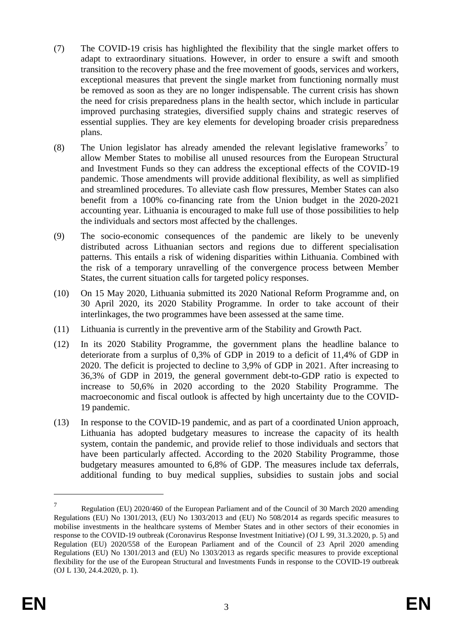- (7) The COVID-19 crisis has highlighted the flexibility that the single market offers to adapt to extraordinary situations. However, in order to ensure a swift and smooth transition to the recovery phase and the free movement of goods, services and workers, exceptional measures that prevent the single market from functioning normally must be removed as soon as they are no longer indispensable. The current crisis has shown the need for crisis preparedness plans in the health sector, which include in particular improved purchasing strategies, diversified supply chains and strategic reserves of essential supplies. They are key elements for developing broader crisis preparedness plans.
- (8) The Union legislator has already amended the relevant legislative frameworks<sup>7</sup> to allow Member States to mobilise all unused resources from the European Structural and Investment Funds so they can address the exceptional effects of the COVID-19 pandemic. Those amendments will provide additional flexibility, as well as simplified and streamlined procedures. To alleviate cash flow pressures, Member States can also benefit from a 100% co-financing rate from the Union budget in the 2020-2021 accounting year. Lithuania is encouraged to make full use of those possibilities to help the individuals and sectors most affected by the challenges.
- (9) The socio-economic consequences of the pandemic are likely to be unevenly distributed across Lithuanian sectors and regions due to different specialisation patterns. This entails a risk of widening disparities within Lithuania. Combined with the risk of a temporary unravelling of the convergence process between Member States, the current situation calls for targeted policy responses.
- (10) On 15 May 2020, Lithuania submitted its 2020 National Reform Programme and, on 30 April 2020, its 2020 Stability Programme. In order to take account of their interlinkages, the two programmes have been assessed at the same time.
- (11) Lithuania is currently in the preventive arm of the Stability and Growth Pact.
- (12) In its 2020 Stability Programme, the government plans the headline balance to deteriorate from a surplus of 0,3% of GDP in 2019 to a deficit of 11,4% of GDP in 2020. The deficit is projected to decline to 3,9% of GDP in 2021. After increasing to 36,3% of GDP in 2019, the general government debt-to-GDP ratio is expected to increase to 50,6% in 2020 according to the 2020 Stability Programme. The macroeconomic and fiscal outlook is affected by high uncertainty due to the COVID-19 pandemic.
- (13) In response to the COVID-19 pandemic, and as part of a coordinated Union approach, Lithuania has adopted budgetary measures to increase the capacity of its health system, contain the pandemic, and provide relief to those individuals and sectors that have been particularly affected. According to the 2020 Stability Programme, those budgetary measures amounted to 6,8% of GDP. The measures include tax deferrals, additional funding to buy medical supplies, subsidies to sustain jobs and social

1

<sup>7</sup> Regulation (EU) 2020/460 of the European Parliament and of the Council of 30 March 2020 amending Regulations (EU) No 1301/2013, (EU) No 1303/2013 and (EU) No 508/2014 as regards specific measures to mobilise investments in the healthcare systems of Member States and in other sectors of their economies in response to the COVID-19 outbreak (Coronavirus Response Investment Initiative) (OJ L 99, 31.3.2020, p. 5) and Regulation (EU) 2020/558 of the European Parliament and of the Council of 23 April 2020 amending Regulations (EU) No 1301/2013 and (EU) No 1303/2013 as regards specific measures to provide exceptional flexibility for the use of the European Structural and Investments Funds in response to the COVID-19 outbreak (OJ L 130, 24.4.2020, p. 1).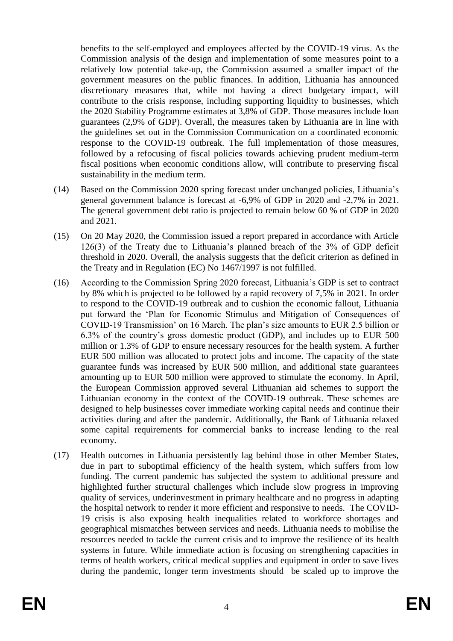benefits to the self-employed and employees affected by the COVID-19 virus. As the Commission analysis of the design and implementation of some measures point to a relatively low potential take-up, the Commission assumed a smaller impact of the government measures on the public finances. In addition, Lithuania has announced discretionary measures that, while not having a direct budgetary impact, will contribute to the crisis response, including supporting liquidity to businesses, which the 2020 Stability Programme estimates at 3,8% of GDP. Those measures include loan guarantees (2,9% of GDP). Overall, the measures taken by Lithuania are in line with the guidelines set out in the Commission Communication on a coordinated economic response to the COVID-19 outbreak. The full implementation of those measures, followed by a refocusing of fiscal policies towards achieving prudent medium-term fiscal positions when economic conditions allow, will contribute to preserving fiscal sustainability in the medium term.

- (14) Based on the Commission 2020 spring forecast under unchanged policies, Lithuania's general government balance is forecast at -6,9% of GDP in 2020 and -2,7% in 2021. The general government debt ratio is projected to remain below 60 % of GDP in 2020 and 2021.
- (15) On 20 May 2020, the Commission issued a report prepared in accordance with Article 126(3) of the Treaty due to Lithuania's planned breach of the 3% of GDP deficit threshold in 2020. Overall, the analysis suggests that the deficit criterion as defined in the Treaty and in Regulation (EC) No 1467/1997 is not fulfilled.
- (16) According to the Commission Spring 2020 forecast, Lithuania's GDP is set to contract by 8% which is projected to be followed by a rapid recovery of 7,5% in 2021. In order to respond to the COVID-19 outbreak and to cushion the economic fallout, Lithuania put forward the 'Plan for Economic Stimulus and Mitigation of Consequences of COVID-19 Transmission' on 16 March. The plan's size amounts to EUR 2.5 billion or 6.3% of the country's gross domestic product (GDP), and includes up to EUR 500 million or 1.3% of GDP to ensure necessary resources for the health system. A further EUR 500 million was allocated to protect jobs and income. The capacity of the state guarantee funds was increased by EUR 500 million, and additional state guarantees amounting up to EUR 500 million were approved to stimulate the economy. In April, the European Commission approved several Lithuanian aid schemes to support the Lithuanian economy in the context of the COVID-19 outbreak. These schemes are designed to help businesses cover immediate working capital needs and continue their activities during and after the pandemic. Additionally, the Bank of Lithuania relaxed some capital requirements for commercial banks to increase lending to the real economy.
- (17) Health outcomes in Lithuania persistently lag behind those in other Member States, due in part to suboptimal efficiency of the health system, which suffers from low funding. The current pandemic has subjected the system to additional pressure and highlighted further structural challenges which include slow progress in improving quality of services, underinvestment in primary healthcare and no progress in adapting the hospital network to render it more efficient and responsive to needs. The COVID-19 crisis is also exposing health inequalities related to workforce shortages and geographical mismatches between services and needs. Lithuania needs to mobilise the resources needed to tackle the current crisis and to improve the resilience of its health systems in future. While immediate action is focusing on strengthening capacities in terms of health workers, critical medical supplies and equipment in order to save lives during the pandemic, longer term investments should be scaled up to improve the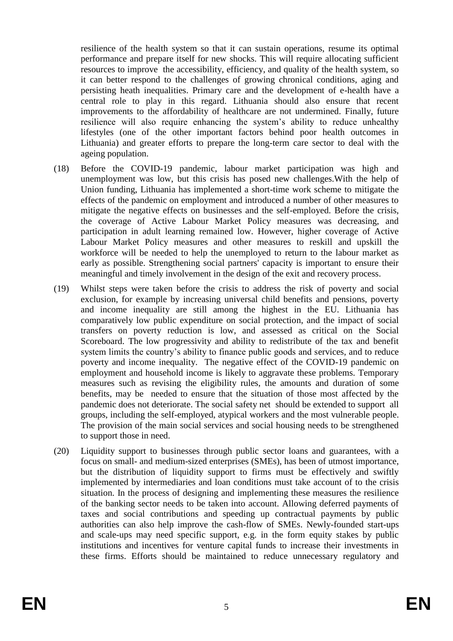resilience of the health system so that it can sustain operations, resume its optimal performance and prepare itself for new shocks. This will require allocating sufficient resources to improve the accessibility, efficiency, and quality of the health system, so it can better respond to the challenges of growing chronical conditions, aging and persisting heath inequalities. Primary care and the development of e-health have a central role to play in this regard. Lithuania should also ensure that recent improvements to the affordability of healthcare are not undermined. Finally, future resilience will also require enhancing the system's ability to reduce unhealthy lifestyles (one of the other important factors behind poor health outcomes in Lithuania) and greater efforts to prepare the long-term care sector to deal with the ageing population.

- (18) Before the COVID-19 pandemic, labour market participation was high and unemployment was low, but this crisis has posed new challenges.With the help of Union funding, Lithuania has implemented a short-time work scheme to mitigate the effects of the pandemic on employment and introduced a number of other measures to mitigate the negative effects on businesses and the self-employed. Before the crisis, the coverage of Active Labour Market Policy measures was decreasing, and participation in adult learning remained low. However, higher coverage of Active Labour Market Policy measures and other measures to reskill and upskill the workforce will be needed to help the unemployed to return to the labour market as early as possible. Strengthening social partners' capacity is important to ensure their meaningful and timely involvement in the design of the exit and recovery process.
- (19) Whilst steps were taken before the crisis to address the risk of poverty and social exclusion, for example by increasing universal child benefits and pensions, poverty and income inequality are still among the highest in the EU. Lithuania has comparatively low public expenditure on social protection, and the impact of social transfers on poverty reduction is low, and assessed as critical on the Social Scoreboard. The low progressivity and ability to redistribute of the tax and benefit system limits the country's ability to finance public goods and services, and to reduce poverty and income inequality. The negative effect of the COVID-19 pandemic on employment and household income is likely to aggravate these problems. Temporary measures such as revising the eligibility rules, the amounts and duration of some benefits, may be needed to ensure that the situation of those most affected by the pandemic does not deteriorate. The social safety net should be extended to support all groups, including the self-employed, atypical workers and the most vulnerable people. The provision of the main social services and social housing needs to be strengthened to support those in need.
- (20) Liquidity support to businesses through public sector loans and guarantees, with a focus on small- and medium-sized enterprises (SMEs), has been of utmost importance, but the distribution of liquidity support to firms must be effectively and swiftly implemented by intermediaries and loan conditions must take account of to the crisis situation. In the process of designing and implementing these measures the resilience of the banking sector needs to be taken into account. Allowing deferred payments of taxes and social contributions and speeding up contractual payments by public authorities can also help improve the cash-flow of SMEs. Newly-founded start-ups and scale-ups may need specific support, e.g. in the form equity stakes by public institutions and incentives for venture capital funds to increase their investments in these firms. Efforts should be maintained to reduce unnecessary regulatory and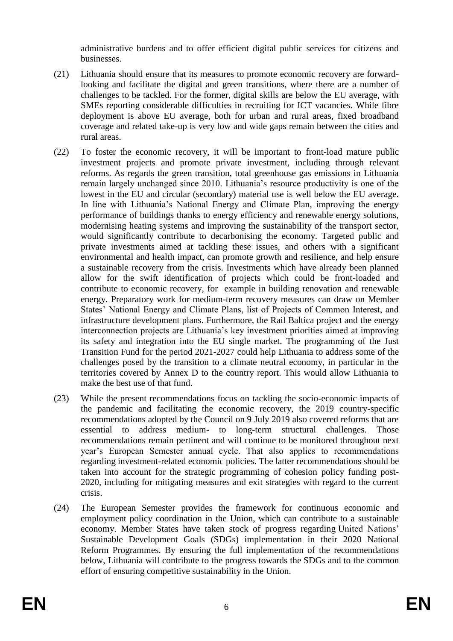administrative burdens and to offer efficient digital public services for citizens and businesses.

- (21) Lithuania should ensure that its measures to promote economic recovery are forwardlooking and facilitate the digital and green transitions, where there are a number of challenges to be tackled. For the former, digital skills are below the EU average, with SMEs reporting considerable difficulties in recruiting for ICT vacancies. While fibre deployment is above EU average, both for urban and rural areas, fixed broadband coverage and related take-up is very low and wide gaps remain between the cities and rural areas.
- (22) To foster the economic recovery, it will be important to front-load mature public investment projects and promote private investment, including through relevant reforms. As regards the green transition, total greenhouse gas emissions in Lithuania remain largely unchanged since 2010. Lithuania's resource productivity is one of the lowest in the EU and circular (secondary) material use is well below the EU average. In line with Lithuania's National Energy and Climate Plan, improving the energy performance of buildings thanks to energy efficiency and renewable energy solutions, modernising heating systems and improving the sustainability of the transport sector, would significantly contribute to decarbonising the economy. Targeted public and private investments aimed at tackling these issues, and others with a significant environmental and health impact, can promote growth and resilience, and help ensure a sustainable recovery from the crisis. Investments which have already been planned allow for the swift identification of projects which could be front-loaded and contribute to economic recovery, for example in building renovation and renewable energy. Preparatory work for medium-term recovery measures can draw on Member States' National Energy and Climate Plans, list of Projects of Common Interest, and infrastructure development plans. Furthermore, the Rail Baltica project and the energy interconnection projects are Lithuania's key investment priorities aimed at improving its safety and integration into the EU single market. The programming of the Just Transition Fund for the period 2021-2027 could help Lithuania to address some of the challenges posed by the transition to a climate neutral economy, in particular in the territories covered by Annex D to the country report. This would allow Lithuania to make the best use of that fund.
- (23) While the present recommendations focus on tackling the socio-economic impacts of the pandemic and facilitating the economic recovery, the 2019 country-specific recommendations adopted by the Council on 9 July 2019 also covered reforms that are essential to address medium- to long-term structural challenges. Those recommendations remain pertinent and will continue to be monitored throughout next year's European Semester annual cycle. That also applies to recommendations regarding investment-related economic policies. The latter recommendations should be taken into account for the strategic programming of cohesion policy funding post-2020, including for mitigating measures and exit strategies with regard to the current crisis.
- (24) The European Semester provides the framework for continuous economic and employment policy coordination in the Union, which can contribute to a sustainable economy. Member States have taken stock of progress regarding United Nations' Sustainable Development Goals (SDGs) implementation in their 2020 National Reform Programmes. By ensuring the full implementation of the recommendations below, Lithuania will contribute to the progress towards the SDGs and to the common effort of ensuring competitive sustainability in the Union.